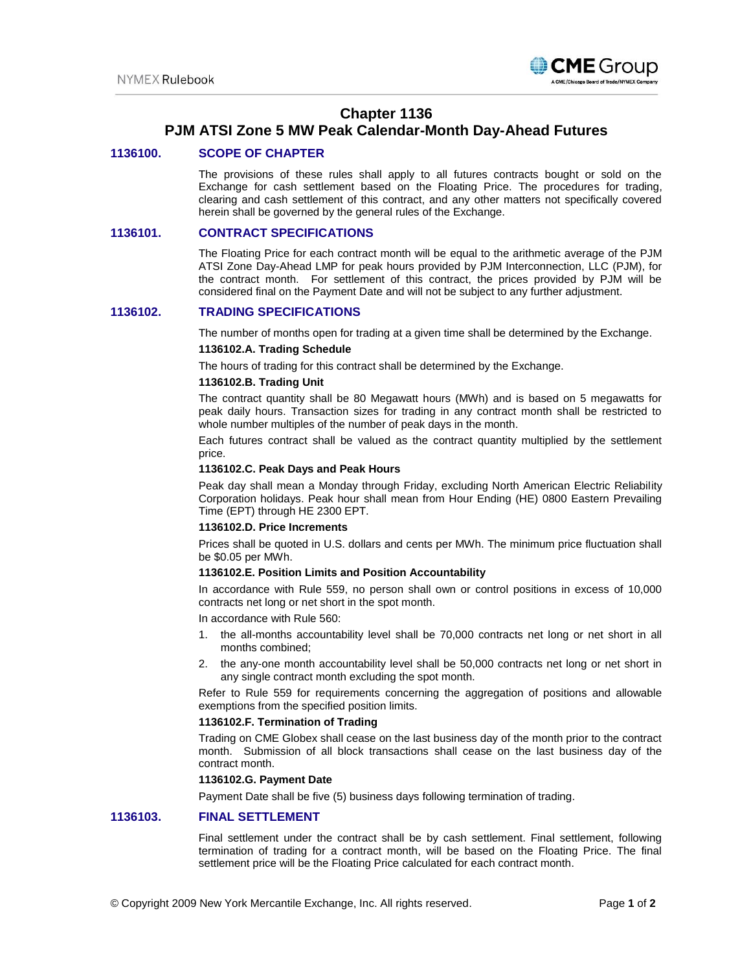

## **Chapter 1136**

# **PJM ATSI Zone 5 MW Peak Calendar-Month Day-Ahead Futures**

## **1136100. SCOPE OF CHAPTER**

The provisions of these rules shall apply to all futures contracts bought or sold on the Exchange for cash settlement based on the Floating Price. The procedures for trading, clearing and cash settlement of this contract, and any other matters not specifically covered herein shall be governed by the general rules of the Exchange.

## **1136101. CONTRACT SPECIFICATIONS**

The Floating Price for each contract month will be equal to the arithmetic average of the PJM ATSI Zone Day-Ahead LMP for peak hours provided by PJM Interconnection, LLC (PJM), for the contract month. For settlement of this contract, the prices provided by PJM will be considered final on the Payment Date and will not be subject to any further adjustment.

## **1136102. TRADING SPECIFICATIONS**

The number of months open for trading at a given time shall be determined by the Exchange.

## **1136102.A. Trading Schedule**

The hours of trading for this contract shall be determined by the Exchange.

## **1136102.B. Trading Unit**

The contract quantity shall be 80 Megawatt hours (MWh) and is based on 5 megawatts for peak daily hours. Transaction sizes for trading in any contract month shall be restricted to whole number multiples of the number of peak days in the month.

Each futures contract shall be valued as the contract quantity multiplied by the settlement price.

#### **1136102.C. Peak Days and Peak Hours**

Peak day shall mean a Monday through Friday, excluding North American Electric Reliability Corporation holidays. Peak hour shall mean from Hour Ending (HE) 0800 Eastern Prevailing Time (EPT) through HE 2300 EPT.

### **1136102.D. Price Increments**

Prices shall be quoted in U.S. dollars and cents per MWh. The minimum price fluctuation shall be \$0.05 per MWh.

#### **1136102.E. Position Limits and Position Accountability**

In accordance with Rule 559, no person shall own or control positions in excess of 10,000 contracts net long or net short in the spot month.

In accordance with Rule 560:

- 1. the all-months accountability level shall be 70,000 contracts net long or net short in all months combined;
- 2. the any-one month accountability level shall be 50,000 contracts net long or net short in any single contract month excluding the spot month.

Refer to Rule 559 for requirements concerning the aggregation of positions and allowable exemptions from the specified position limits.

#### **1136102.F. Termination of Trading**

Trading on CME Globex shall cease on the last business day of the month prior to the contract month. Submission of all block transactions shall cease on the last business day of the contract month.

#### **1136102.G. Payment Date**

Payment Date shall be five (5) business days following termination of trading.

## **1136103. FINAL SETTLEMENT**

Final settlement under the contract shall be by cash settlement. Final settlement, following termination of trading for a contract month, will be based on the Floating Price. The final settlement price will be the Floating Price calculated for each contract month.